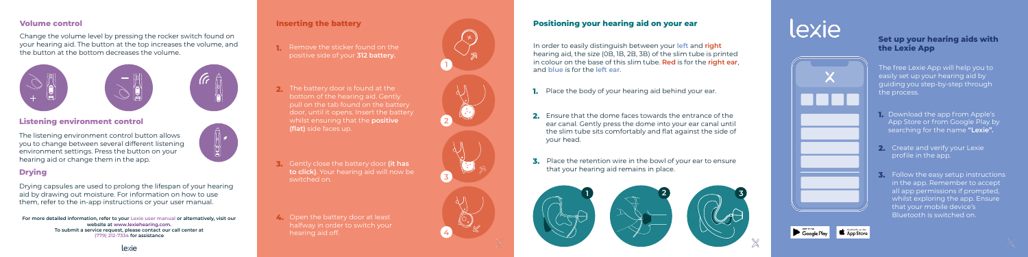#### **Volume control**

Change the volume level by pressing the rocker switch found on your hearing aid. The button at the top increases the volume, and the button at the bottom decreases the volume.



## **Listening environment control**

The listening environment control button allows you to change between several different listening environment settings. Press the button on your hearing aid or change them in the app.

# **Drying**

Drying capsules are used to prolong the lifespan of your hearing aid by drawing out moisture. For information on how to use them, refer to the in-app instructions or your user manual.

**For more detailed information, refer to your Lexie user manual or alternatively, visit our website at www.lexiehearing.com. To submit a service request, please contact our call center at (779) 212-7334 for assistance**.

### **Inserting the battery**

**1.** Remove the sticker found on the positive side of your **312 battery.**

**2.** The battery door is found at the bottom of the hearing aid. Gently pull on the tab found on the battery door, until it opens. Insert the battery whilst ensuring that the **positive (flat)** side faces up.

**3.** Gently close the battery door **(it has to click)**. Your hearing aid will now be switched on.

**1234**

 $(\times)$ 

**4.** Open the battery door at least hearing aid off.

### **Positioning your hearing aid on your ear**

In order to easily distinguish between your **left** and **right**  hearing aid, the size (0B, 1B, 2B, 3B) of the slim tube is printed in colour on the base of this slim tube. **Red** is for the **right ear**, and **blue** is for the **left ear** .

**1.** Place the body of your hearing aid behind your ear.

**2.** Ensure that the dome faces towards the entrance of the ear canal. Gently press the dome into your ear canal until the slim tube sits comfortably and flat against the side of your head.

**3.** Place the retention wire in the bowl of your ear to ensure that your hearing aid remains in place.



# lexie



The free Lexie App will help you to easily set up your hearing aid by guiding you step-by-step through the process.

**Set up your hearing aids with** 

**the Lexie App**

**1.** Download the app from Apple's App Store or from Google Play by searching for the name **"Lexie".** 

**2.** Create and verify your Lexie profile in the app.

**3.** Follow the easy setup instructions in the app. Remember to accept all app permissions if prompted, whilst exploring the app. Ensure that your mobile device's Bluetooth is switched on.